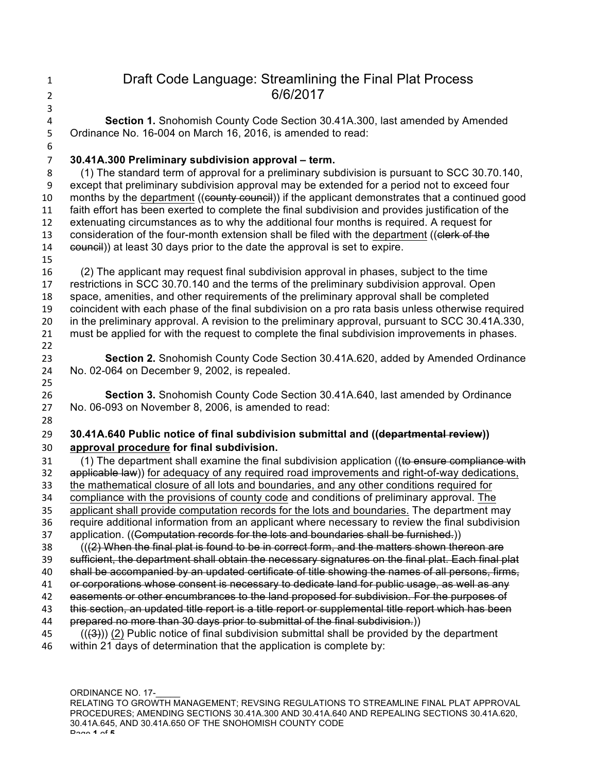| $\mathbf{1}$<br>$\overline{2}$ | Draft Code Language: Streamlining the Final Plat Process<br>6/6/2017                                                                        |  |  |
|--------------------------------|---------------------------------------------------------------------------------------------------------------------------------------------|--|--|
| 3                              |                                                                                                                                             |  |  |
| $\pmb{4}$<br>5                 | Section 1. Snohomish County Code Section 30.41A.300, last amended by Amended<br>Ordinance No. 16-004 on March 16, 2016, is amended to read: |  |  |
| 6                              |                                                                                                                                             |  |  |
| $\overline{7}$                 | 30.41A.300 Preliminary subdivision approval - term.                                                                                         |  |  |
| 8                              | (1) The standard term of approval for a preliminary subdivision is pursuant to SCC 30.70.140,                                               |  |  |
| $\boldsymbol{9}$               | except that preliminary subdivision approval may be extended for a period not to exceed four                                                |  |  |
| 10                             | months by the department ((county council)) if the applicant demonstrates that a continued good                                             |  |  |
| 11                             | faith effort has been exerted to complete the final subdivision and provides justification of the                                           |  |  |
| 12                             | extenuating circumstances as to why the additional four months is required. A request for                                                   |  |  |
| 13                             | consideration of the four-month extension shall be filed with the department ((elerk of the                                                 |  |  |
| 14                             | eouncil) at least 30 days prior to the date the approval is set to expire.                                                                  |  |  |
| 15                             |                                                                                                                                             |  |  |
| 16                             | (2) The applicant may request final subdivision approval in phases, subject to the time                                                     |  |  |
| 17                             | restrictions in SCC 30.70.140 and the terms of the preliminary subdivision approval. Open                                                   |  |  |
| 18                             | space, amenities, and other requirements of the preliminary approval shall be completed                                                     |  |  |
| 19                             | coincident with each phase of the final subdivision on a pro rata basis unless otherwise required                                           |  |  |
| 20                             | in the preliminary approval. A revision to the preliminary approval, pursuant to SCC 30.41A.330,                                            |  |  |
| 21<br>22                       | must be applied for with the request to complete the final subdivision improvements in phases.                                              |  |  |
| 23                             | Section 2. Snohomish County Code Section 30.41A.620, added by Amended Ordinance                                                             |  |  |
| 24                             | No. 02-064 on December 9, 2002, is repealed.                                                                                                |  |  |
| 25                             |                                                                                                                                             |  |  |
| 26                             | Section 3. Snohomish County Code Section 30.41A.640, last amended by Ordinance                                                              |  |  |
| 27                             | No. 06-093 on November 8, 2006, is amended to read:                                                                                         |  |  |
| 28                             |                                                                                                                                             |  |  |
| 29                             | 30.41A.640 Public notice of final subdivision submittal and ((departmental review))                                                         |  |  |
| 30                             | approval procedure for final subdivision.                                                                                                   |  |  |
| 31                             | (1) The department shall examine the final subdivision application ((to ensure compliance with                                              |  |  |
| 32                             | applicable law) for adequacy of any required road improvements and right-of-way dedications,                                                |  |  |
| 33                             | the mathematical closure of all lots and boundaries, and any other conditions required for                                                  |  |  |
| 34                             | compliance with the provisions of county code and conditions of preliminary approval. The                                                   |  |  |
| 35                             | applicant shall provide computation records for the lots and boundaries. The department may                                                 |  |  |
| 36                             | require additional information from an applicant where necessary to review the final subdivision                                            |  |  |
| 37                             | application. ((Computation records for the lots and boundaries shall be furnished.))                                                        |  |  |
| 38                             | (((2) When the final plat is found to be in correct form, and the matters shown thereon are                                                 |  |  |
| 39                             | sufficient, the department shall obtain the necessary signatures on the final plat. Each final plat                                         |  |  |
| 40                             | shall be accompanied by an updated certificate of title showing the names of all persons, firms,                                            |  |  |

- 41 or corporations whose consent is necessary to dedicate land for public usage, as well as any
- 42 easements or other encumbrances to the land proposed for subdivision. For the purposes of
- 43 this section, an updated title report is a title report or supplemental title report which has been
- 44 prepared no more than 30 days prior to submittal of the final subdivision.)
- $(1)$   $(2)$  Public notice of final subdivision submittal shall be provided by the department 46 within 21 days of determination that the application is complete by:

ORDINANCE NO. 17-RELATING TO GROWTH MANAGEMENT; REVSING REGULATIONS TO STREAMLINE FINAL PLAT APPROVAL PROCEDURES; AMENDING SECTIONS 30.41A.300 AND 30.41A.640 AND REPEALING SECTIONS 30.41A.620, 30.41A.645, AND 30.41A.650 OF THE SNOHOMISH COUNTY CODE Page **1** of **5**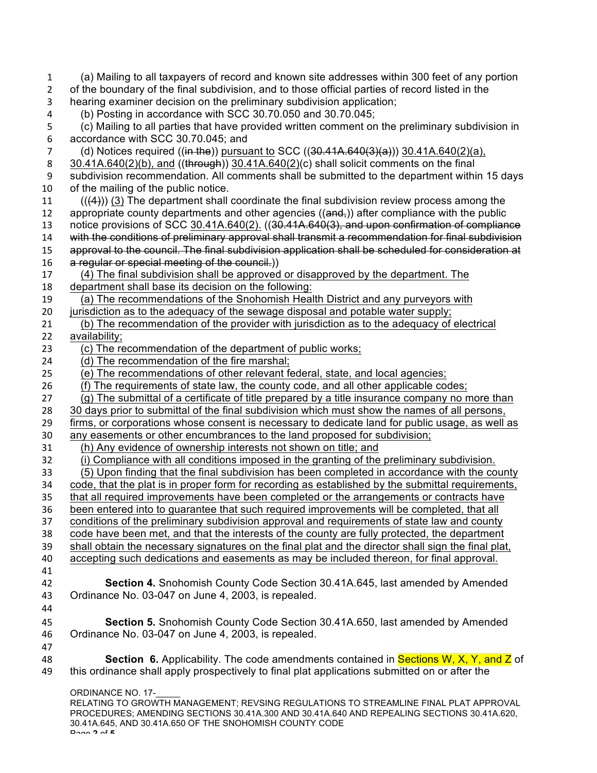| $\mathbf{1}$   | (a) Mailing to all taxpayers of record and known site addresses within 300 feet of any portion             |  |  |  |
|----------------|------------------------------------------------------------------------------------------------------------|--|--|--|
| $\overline{2}$ | of the boundary of the final subdivision, and to those official parties of record listed in the            |  |  |  |
| $\mathsf 3$    | hearing examiner decision on the preliminary subdivision application;                                      |  |  |  |
| $\overline{4}$ | (b) Posting in accordance with SCC 30.70.050 and 30.70.045;                                                |  |  |  |
| 5              | (c) Mailing to all parties that have provided written comment on the preliminary subdivision in            |  |  |  |
| 6              | accordance with SCC 30.70.045; and                                                                         |  |  |  |
| $\overline{7}$ | (d) Notices required ((in the)) pursuant to SCC ( $(30.41A.640(3)(a))$ ) 30.41A.640(2)(a),                 |  |  |  |
| 8              | 30.41A.640(2)(b), and ((through)) 30.41A.640(2)(c) shall solicit comments on the final                     |  |  |  |
| 9              | subdivision recommendation. All comments shall be submitted to the department within 15 days               |  |  |  |
| 10             | of the mailing of the public notice.                                                                       |  |  |  |
| 11             | $((44))$ (3) The department shall coordinate the final subdivision review process among the                |  |  |  |
| 12             | appropriate county departments and other agencies ((and,)) after compliance with the public                |  |  |  |
| 13             | notice provisions of SCC 30.41A.640(2). ((30.41A.640(3), and upon confirmation of compliance               |  |  |  |
| 14             | with the conditions of preliminary approval shall transmit a recommendation for final subdivision          |  |  |  |
| 15             | approval to the council. The final subdivision application shall be scheduled for consideration at         |  |  |  |
| 16             | a regular or special meeting of the council.)                                                              |  |  |  |
| 17             | (4) The final subdivision shall be approved or disapproved by the department. The                          |  |  |  |
| 18             | department shall base its decision on the following:                                                       |  |  |  |
| 19             | (a) The recommendations of the Snohomish Health District and any purveyors with                            |  |  |  |
| 20<br>21       | jurisdiction as to the adequacy of the sewage disposal and potable water supply;                           |  |  |  |
| 22             | (b) The recommendation of the provider with jurisdiction as to the adequacy of electrical<br>availability; |  |  |  |
| 23             | (c) The recommendation of the department of public works;                                                  |  |  |  |
| 24             | (d) The recommendation of the fire marshal;                                                                |  |  |  |
| 25             | (e) The recommendations of other relevant federal, state, and local agencies;                              |  |  |  |
| 26             | (f) The requirements of state law, the county code, and all other applicable codes;                        |  |  |  |
| 27             | (g) The submittal of a certificate of title prepared by a title insurance company no more than             |  |  |  |
| 28             | 30 days prior to submittal of the final subdivision which must show the names of all persons,              |  |  |  |
| 29             | firms, or corporations whose consent is necessary to dedicate land for public usage, as well as            |  |  |  |
| 30             | any easements or other encumbrances to the land proposed for subdivision;                                  |  |  |  |
| 31             | (h) Any evidence of ownership interests not shown on title; and                                            |  |  |  |
| 32             | (i) Compliance with all conditions imposed in the granting of the preliminary subdivision.                 |  |  |  |
| 33             | (5) Upon finding that the final subdivision has been completed in accordance with the county               |  |  |  |
| 34             | code, that the plat is in proper form for recording as established by the submittal requirements,          |  |  |  |
| 35             | that all required improvements have been completed or the arrangements or contracts have                   |  |  |  |
| 36             | been entered into to guarantee that such required improvements will be completed, that all                 |  |  |  |
| 37             | conditions of the preliminary subdivision approval and requirements of state law and county                |  |  |  |
| 38             | code have been met, and that the interests of the county are fully protected, the department               |  |  |  |
| 39             | shall obtain the necessary signatures on the final plat and the director shall sign the final plat,        |  |  |  |
| 40             | accepting such dedications and easements as may be included thereon, for final approval.                   |  |  |  |
| 41             |                                                                                                            |  |  |  |
| 42             | Section 4. Snohomish County Code Section 30.41A.645, last amended by Amended                               |  |  |  |
| 43             | Ordinance No. 03-047 on June 4, 2003, is repealed.                                                         |  |  |  |
| 44             |                                                                                                            |  |  |  |
| 45             | Section 5. Snohomish County Code Section 30.41A.650, last amended by Amended                               |  |  |  |
| 46             | Ordinance No. 03-047 on June 4, 2003, is repealed.                                                         |  |  |  |
| 47             |                                                                                                            |  |  |  |
| 48             | <b>Section 6.</b> Applicability. The code amendments contained in <b>Sections W, X, Y, and Z</b> of        |  |  |  |
| 49             | this ordinance shall apply prospectively to final plat applications submitted on or after the              |  |  |  |
|                | <b>ORDINANCE NO. 17-</b>                                                                                   |  |  |  |
|                | RELATING TO GROWTH MANAGEMENT; REVSING REGULATIONS TO STREAMLINE FINAL PLAT APPROVAL                       |  |  |  |
|                |                                                                                                            |  |  |  |

PROCEDURES; AMENDING SECTIONS 30.41A.300 AND 30.41A.640 AND REPEALING SECTIONS 30.41A.620, 30.41A.645, AND 30.41A.650 OF THE SNOHOMISH COUNTY CODE Page **2** of **5**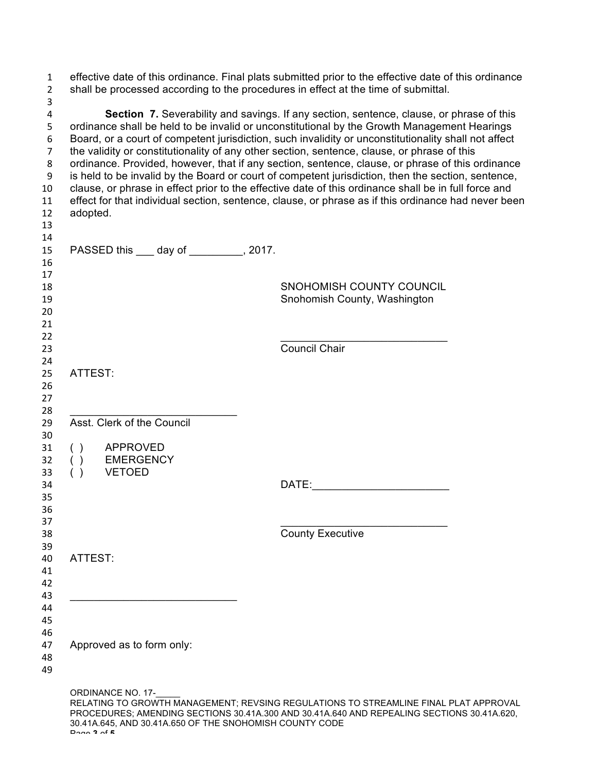| effective date of this ordinance. Final plats submitted prior to the effective date of this ordinance<br>shall be processed according to the procedures in effect at the time of submittal.                                                                                                                                                                                                                                                                                                                                                                                                                                                                                                                                                                                                                             |                                                                                                                                                                                    |  |  |
|-------------------------------------------------------------------------------------------------------------------------------------------------------------------------------------------------------------------------------------------------------------------------------------------------------------------------------------------------------------------------------------------------------------------------------------------------------------------------------------------------------------------------------------------------------------------------------------------------------------------------------------------------------------------------------------------------------------------------------------------------------------------------------------------------------------------------|------------------------------------------------------------------------------------------------------------------------------------------------------------------------------------|--|--|
| Section 7. Severability and savings. If any section, sentence, clause, or phrase of this<br>ordinance shall be held to be invalid or unconstitutional by the Growth Management Hearings<br>Board, or a court of competent jurisdiction, such invalidity or unconstitutionality shall not affect<br>the validity or constitutionality of any other section, sentence, clause, or phrase of this<br>ordinance. Provided, however, that if any section, sentence, clause, or phrase of this ordinance<br>is held to be invalid by the Board or court of competent jurisdiction, then the section, sentence,<br>clause, or phrase in effect prior to the effective date of this ordinance shall be in full force and<br>effect for that individual section, sentence, clause, or phrase as if this ordinance had never been |                                                                                                                                                                                    |  |  |
| adopted.                                                                                                                                                                                                                                                                                                                                                                                                                                                                                                                                                                                                                                                                                                                                                                                                                |                                                                                                                                                                                    |  |  |
| PASSED this ____ day of _________, 2017.                                                                                                                                                                                                                                                                                                                                                                                                                                                                                                                                                                                                                                                                                                                                                                                |                                                                                                                                                                                    |  |  |
|                                                                                                                                                                                                                                                                                                                                                                                                                                                                                                                                                                                                                                                                                                                                                                                                                         | SNOHOMISH COUNTY COUNCIL<br>Snohomish County, Washington                                                                                                                           |  |  |
|                                                                                                                                                                                                                                                                                                                                                                                                                                                                                                                                                                                                                                                                                                                                                                                                                         | Council Chair                                                                                                                                                                      |  |  |
| ATTEST:                                                                                                                                                                                                                                                                                                                                                                                                                                                                                                                                                                                                                                                                                                                                                                                                                 |                                                                                                                                                                                    |  |  |
| Asst. Clerk of the Council                                                                                                                                                                                                                                                                                                                                                                                                                                                                                                                                                                                                                                                                                                                                                                                              |                                                                                                                                                                                    |  |  |
| <b>APPROVED</b><br>( )<br><b>EMERGENCY</b><br>( )<br>( )<br><b>VETOED</b>                                                                                                                                                                                                                                                                                                                                                                                                                                                                                                                                                                                                                                                                                                                                               |                                                                                                                                                                                    |  |  |
|                                                                                                                                                                                                                                                                                                                                                                                                                                                                                                                                                                                                                                                                                                                                                                                                                         | DATE:                                                                                                                                                                              |  |  |
|                                                                                                                                                                                                                                                                                                                                                                                                                                                                                                                                                                                                                                                                                                                                                                                                                         | <b>County Executive</b>                                                                                                                                                            |  |  |
| ATTEST:                                                                                                                                                                                                                                                                                                                                                                                                                                                                                                                                                                                                                                                                                                                                                                                                                 |                                                                                                                                                                                    |  |  |
| Approved as to form only:                                                                                                                                                                                                                                                                                                                                                                                                                                                                                                                                                                                                                                                                                                                                                                                               |                                                                                                                                                                                    |  |  |
| <b>ORDINANCE NO. 17-</b><br>30.41A.645, AND 30.41A.650 OF THE SNOHOMISH COUNTY CODE                                                                                                                                                                                                                                                                                                                                                                                                                                                                                                                                                                                                                                                                                                                                     | RELATING TO GROWTH MANAGEMENT; REVSING REGULATIONS TO STREAMLINE FINAL PLAT APPROVAL<br>PROCEDURES; AMENDING SECTIONS 30.41A.300 AND 30.41A.640 AND REPEALING SECTIONS 30.41A.620, |  |  |

Page **3** of **5**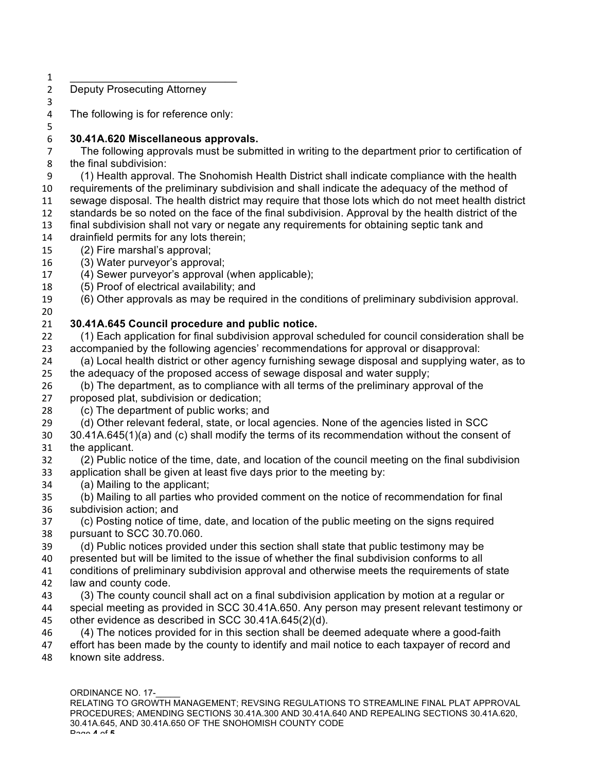- $\qquad \qquad$   $\qquad$   $\qquad$   $\qquad$   $\qquad$   $\qquad$   $\qquad$   $\qquad$   $\qquad$   $\qquad$   $\qquad$   $\qquad$   $\qquad$   $\qquad$   $\qquad$   $\qquad$   $\qquad$   $\qquad$   $\qquad$   $\qquad$   $\qquad$   $\qquad$   $\qquad$   $\qquad$   $\qquad$   $\qquad$   $\qquad$   $\qquad$   $\qquad$   $\qquad$   $\qquad$   $\qquad$   $\qquad$   $\qquad$   $\qquad$   $\qquad$  Deputy Prosecuting Attorney
- The following is for reference only:

## **30.41A.620 Miscellaneous approvals.**

 The following approvals must be submitted in writing to the department prior to certification of the final subdivision:

- (1) Health approval. The Snohomish Health District shall indicate compliance with the health requirements of the preliminary subdivision and shall indicate the adequacy of the method of sewage disposal. The health district may require that those lots which do not meet health district standards be so noted on the face of the final subdivision. Approval by the health district of the final subdivision shall not vary or negate any requirements for obtaining septic tank and
- drainfield permits for any lots therein;
- (2) Fire marshal's approval;
- (3) Water purveyor's approval;
- (4) Sewer purveyor's approval (when applicable);
- (5) Proof of electrical availability; and
- (6) Other approvals as may be required in the conditions of preliminary subdivision approval.

## 

## **30.41A.645 Council procedure and public notice.**

- (1) Each application for final subdivision approval scheduled for council consideration shall be accompanied by the following agencies' recommendations for approval or disapproval:
- (a) Local health district or other agency furnishing sewage disposal and supplying water, as to the adequacy of the proposed access of sewage disposal and water supply;
- (b) The department, as to compliance with all terms of the preliminary approval of the proposed plat, subdivision or dedication;
- (c) The department of public works; and
- (d) Other relevant federal, state, or local agencies. None of the agencies listed in SCC
- 30.41A.645(1)(a) and (c) shall modify the terms of its recommendation without the consent of the applicant.
- (2) Public notice of the time, date, and location of the council meeting on the final subdivision application shall be given at least five days prior to the meeting by:
- (a) Mailing to the applicant;
- (b) Mailing to all parties who provided comment on the notice of recommendation for final subdivision action; and
- (c) Posting notice of time, date, and location of the public meeting on the signs required pursuant to SCC 30.70.060.
- (d) Public notices provided under this section shall state that public testimony may be presented but will be limited to the issue of whether the final subdivision conforms to all conditions of preliminary subdivision approval and otherwise meets the requirements of state
- law and county code.
- (3) The county council shall act on a final subdivision application by motion at a regular or special meeting as provided in SCC 30.41A.650. Any person may present relevant testimony or other evidence as described in SCC 30.41A.645(2)(d).
- (4) The notices provided for in this section shall be deemed adequate where a good-faith effort has been made by the county to identify and mail notice to each taxpayer of record and known site address.
	- ORDINANCE NO. 17-